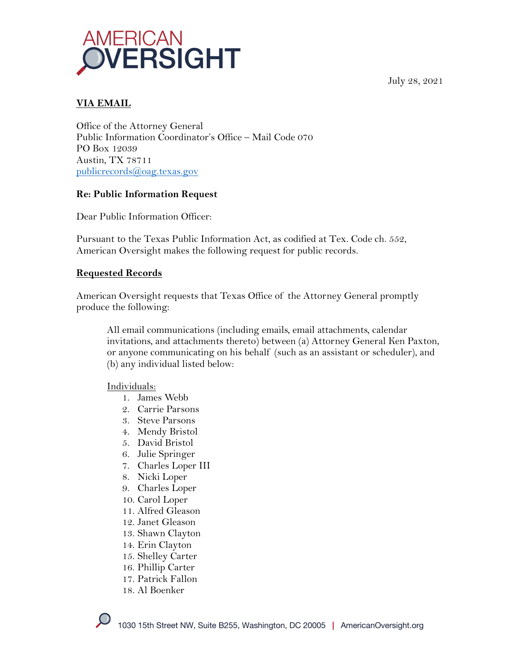

July 28, 2021

## **VIA EMAIL**

Office of the Attorney General Public Information Coordinator's Office – Mail Code 070 PO Box 12039 Austin, TX 78711 publicrecords@oag.texas.gov

#### **Re: Public Information Request**

Dear Public Information Officer:

Pursuant to the Texas Public Information Act, as codified at Tex. Code ch. 552, American Oversight makes the following request for public records.

#### **Requested Records**

American Oversight requests that Texas Office of the Attorney General promptly produce the following:

All email communications (including emails, email attachments, calendar invitations, and attachments thereto) between (a) Attorney General Ken Paxton, or anyone communicating on his behalf (such as an assistant or scheduler), and (b) any individual listed below:

Individuals:

- 1. James Webb
- 2. Carrie Parsons
- 3. Steve Parsons
- 4. Mendy Bristol
- 5. David Bristol
- 6. Julie Springer
- 7. Charles Loper III
- 8. Nicki Loper
- 9. Charles Loper
- 10. Carol Loper
- 11. Alfred Gleason
- 12. Janet Gleason
- 13. Shawn Clayton
- 14. Erin Clayton
- 15. Shelley Carter
- 16. Phillip Carter
- 17. Patrick Fallon
- 18. Al Boenker

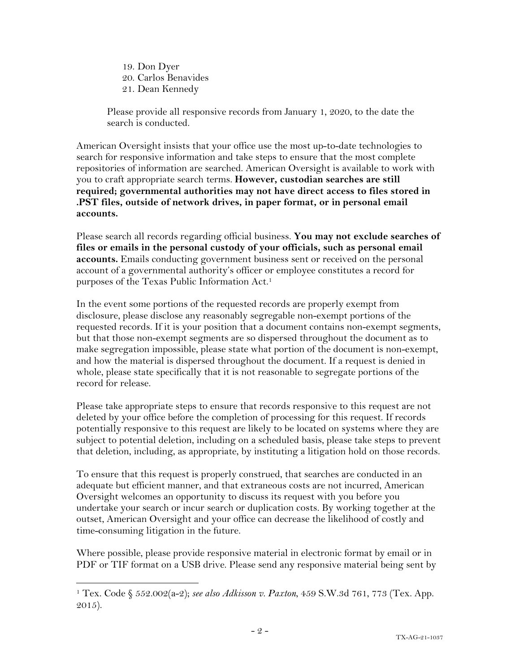19. Don Dyer 20. Carlos Benavides 21. Dean Kennedy

Please provide all responsive records from January 1, 2020, to the date the search is conducted.

American Oversight insists that your office use the most up-to-date technologies to search for responsive information and take steps to ensure that the most complete repositories of information are searched. American Oversight is available to work with you to craft appropriate search terms. **However, custodian searches are still required; governmental authorities may not have direct access to files stored in .PST files, outside of network drives, in paper format, or in personal email accounts.**

Please search all records regarding official business. **You may not exclude searches of files or emails in the personal custody of your officials, such as personal email accounts.** Emails conducting government business sent or received on the personal account of a governmental authority's officer or employee constitutes a record for purposes of the Texas Public Information Act.1

In the event some portions of the requested records are properly exempt from disclosure, please disclose any reasonably segregable non-exempt portions of the requested records. If it is your position that a document contains non-exempt segments, but that those non-exempt segments are so dispersed throughout the document as to make segregation impossible, please state what portion of the document is non-exempt, and how the material is dispersed throughout the document. If a request is denied in whole, please state specifically that it is not reasonable to segregate portions of the record for release.

Please take appropriate steps to ensure that records responsive to this request are not deleted by your office before the completion of processing for this request. If records potentially responsive to this request are likely to be located on systems where they are subject to potential deletion, including on a scheduled basis, please take steps to prevent that deletion, including, as appropriate, by instituting a litigation hold on those records.

To ensure that this request is properly construed, that searches are conducted in an adequate but efficient manner, and that extraneous costs are not incurred, American Oversight welcomes an opportunity to discuss its request with you before you undertake your search or incur search or duplication costs. By working together at the outset, American Oversight and your office can decrease the likelihood of costly and time-consuming litigation in the future.

Where possible, please provide responsive material in electronic format by email or in PDF or TIF format on a USB drive. Please send any responsive material being sent by

<sup>1</sup> Tex. Code § 552.002(a-2); *see also Adkisson v. Paxton*, 459 S.W.3d 761, 773 (Tex. App. 2015).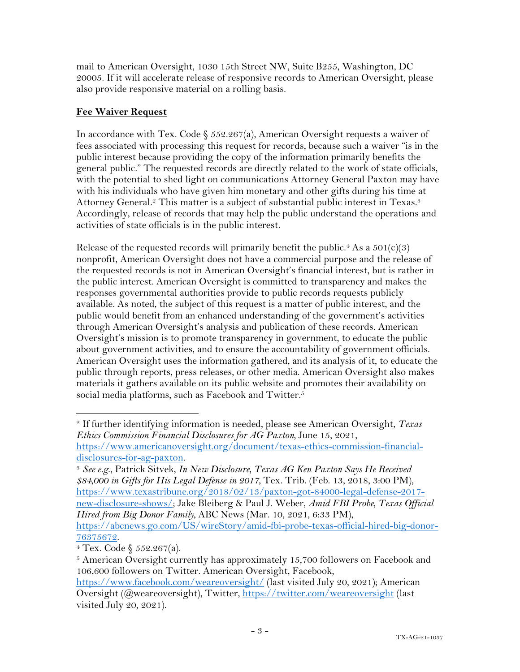mail to American Oversight, 1030 15th Street NW, Suite B255, Washington, DC 20005. If it will accelerate release of responsive records to American Oversight, please also provide responsive material on a rolling basis.

# **Fee Waiver Request**

In accordance with Tex. Code  $\S$  552.267(a), American Oversight requests a waiver of fees associated with processing this request for records, because such a waiver "is in the public interest because providing the copy of the information primarily benefits the general public." The requested records are directly related to the work of state officials, with the potential to shed light on communications Attorney General Paxton may have with his individuals who have given him monetary and other gifts during his time at Attorney General.<sup>2</sup> This matter is a subject of substantial public interest in Texas.<sup>3</sup> Accordingly, release of records that may help the public understand the operations and activities of state officials is in the public interest.

Release of the requested records will primarily benefit the public.<sup>4</sup> As a  $501(c)(3)$ nonprofit, American Oversight does not have a commercial purpose and the release of the requested records is not in American Oversight's financial interest, but is rather in the public interest. American Oversight is committed to transparency and makes the responses governmental authorities provide to public records requests publicly available. As noted, the subject of this request is a matter of public interest, and the public would benefit from an enhanced understanding of the government's activities through American Oversight's analysis and publication of these records. American Oversight's mission is to promote transparency in government, to educate the public about government activities, and to ensure the accountability of government officials. American Oversight uses the information gathered, and its analysis of it, to educate the public through reports, press releases, or other media. American Oversight also makes materials it gathers available on its public website and promotes their availability on social media platforms, such as Facebook and Twitter.<sup>5</sup>

disclosures-for-ag-paxton. 3 *See e.g*., Patrick Sitvek, *In New Disclosure, Texas AG Ken Paxton Says He Received \$84,000 in Gifts for His Legal Defense in 2017,* Tex. Trib. (Feb. 13, 2018, 3:00 PM), https://www.texastribune.org/2018/02/13/paxton-got-84000-legal-defense-2017 new-disclosure-shows/; Jake Bleiberg & Paul J. Weber, *Amid FBI Probe, Texas Official Hired from Big Donor Family,* ABC News (Mar. 10, 2021, 6:33 PM), https://abcnews.go.com/US/wireStory/amid-fbi-probe-texas-official-hired-big-donor-

<sup>2</sup> If further identifying information is needed, please see American Oversight, *Texas Ethics Commission Financial Disclosures for AG Paxton,* June 15, 2021, https://www.americanoversight.org/document/texas-ethics-commission-financial-

<sup>76375672.&</sup>lt;br><sup>4</sup> Tex. Code § 552.267(a).

<sup>&</sup>lt;sup>5</sup> American Oversight currently has approximately 15,700 followers on Facebook and 106,600 followers on Twitter. American Oversight, Facebook,

https://www.facebook.com/weareoversight/ (last visited July 20, 2021); American Oversight (@weareoversight), Twitter, https://twitter.com/weareoversight (last visited July 20, 2021).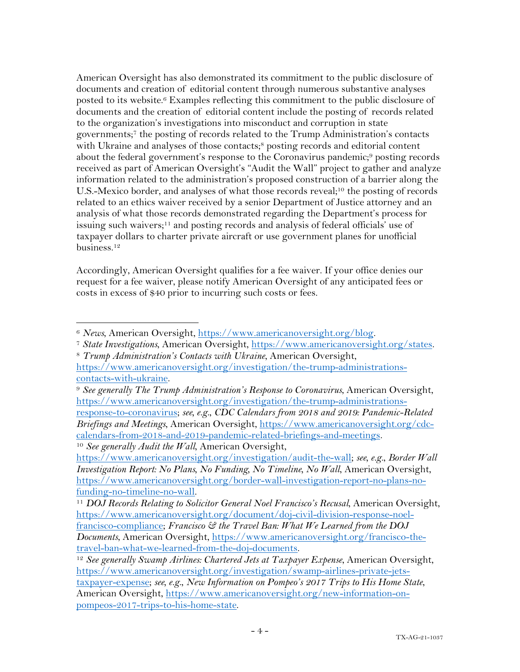American Oversight has also demonstrated its commitment to the public disclosure of documents and creation of editorial content through numerous substantive analyses posted to its website.6 Examples reflecting this commitment to the public disclosure of documents and the creation of editorial content include the posting of records related to the organization's investigations into misconduct and corruption in state governments; <sup>7</sup> the posting of records related to the Trump Administration's contacts with Ukraine and analyses of those contacts;<sup>8</sup> posting records and editorial content about the federal government's response to the Coronavirus pandemic;<sup>9</sup> posting records received as part of American Oversight's "Audit the Wall" project to gather and analyze information related to the administration's proposed construction of a barrier along the U.S.-Mexico border, and analyses of what those records reveal;<sup>10</sup> the posting of records related to an ethics waiver received by a senior Department of Justice attorney and an analysis of what those records demonstrated regarding the Department's process for issuing such waivers;11 and posting records and analysis of federal officials' use of taxpayer dollars to charter private aircraft or use government planes for unofficial business.12

Accordingly, American Oversight qualifies for a fee waiver. If your office denies our request for a fee waiver, please notify American Oversight of any anticipated fees or costs in excess of \$40 prior to incurring such costs or fees.

<sup>&</sup>lt;sup>6</sup> News, American Oversight, <u>https://www.americanoversight.org/blog</u>.<br><sup>7</sup> State Investigations, American Oversight, <u>https://www.americanoversight.org/states</u>.<br><sup>8</sup> Trump Administration's Contacts with Ukraine, American O

https://www.americanoversight.org/investigation/the-trump-administrationscontacts-with-ukraine.

<sup>9</sup> *See generally The Trump Administration's Response to Coronavirus*, American Oversight, https://www.americanoversight.org/investigation/the-trump-administrationsresponse-to-coronavirus; *see, e.g.*, *CDC Calendars from 2018 and 2019: Pandemic-Related Briefings and Meetings*, American Oversight, https://www.americanoversight.org/cdccalendars-from-2018-and-2019-pandemic-related-briefings-and-meetings. <sup>10</sup> *See generally Audit the Wall*, American Oversight,

https://www.americanoversight.org/investigation/audit-the-wall; *see, e.g.*, *Border Wall Investigation Report: No Plans, No Funding, No Timeline, No Wall*, American Oversight, https://www.americanoversight.org/border-wall-investigation-report-no-plans-nofunding-no-timeline-no-wall. 11 *DOJ Records Relating to Solicitor General Noel Francisco's Recusal*, American Oversight,

https://www.americanoversight.org/document/doj-civil-division-response-noelfrancisco-compliance; *Francisco & the Travel Ban: What We Learned from the DOJ Documents*, American Oversight, https://www.americanoversight.org/francisco-thetravel-ban-what-we-learned-from-the-doj-documents.

<sup>&</sup>lt;sup>12</sup> See generally Swamp Airlines: Chartered Jets at Taxpayer Expense, American Oversight, https://www.americanoversight.org/investigation/swamp-airlines-private-jetstaxpayer-expense; *see, e.g.*, *New Information on Pompeo's 2017 Trips to His Home State*, American Oversight, https://www.americanoversight.org/new-information-onpompeos-2017-trips-to-his-home-state.